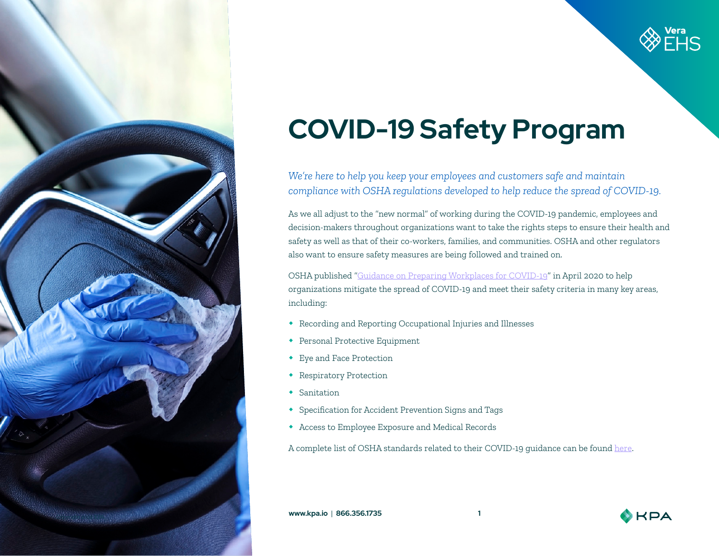



# **COVID-19 Safety Program**

*We're here to help you keep your employees and customers safe and maintain compliance with OSHA regulations developed to help reduce the spread of COVID-19.* 

As we all adjust to the "new normal" of working during the COVID-19 pandemic, employees and decision-makers throughout organizations want to take the rights steps to ensure their health and safety as well as that of their co-workers, families, and communities. OSHA and other regulators also want to ensure safety measures are being followed and trained on.

OSHA published "[Guidance on Preparing Workplaces for COVID-19](https://www.osha.gov/Publications/OSHA3990.pdf)" in April 2020 to help organizations mitigate the spread of COVID-19 and meet their safety criteria in many key areas, including:

- Recording and Reporting Occupational Injuries and Illnesses
- Personal Protective Equipment
- Eye and Face Protection
- Respiratory Protection
- Sanitation
- Specification for Accident Prevention Signs and Tags
- Access to Employee Exposure and Medical Records

A complete list of OSHA standards related to their COVID-19 guidance can be found [here](https://www.osha.gov/SLTC/covid-19/standards.html).